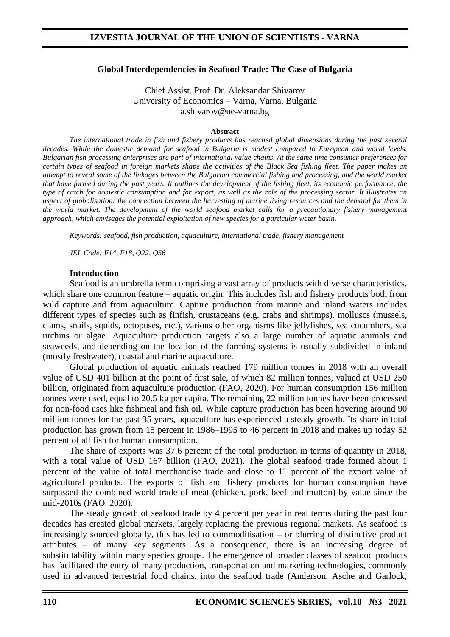### **Global Interdependencies in Seafood Trade: The Case of Bulgaria**

Chief Assist. Prof. Dr. Aleksandar Shivarov University of Economics – Varna, Varna, Bulgaria a.shivarov@ue-varna.bg

#### **Abstract**

*The international trade in fish and fishery products has reached global dimensions during the past several decades. While the domestic demand for seafood in Bulgaria is modest compared to European and world levels, Bulgarian fish processing enterprises are part of international value chains. At the same time consumer preferences for certain types of seafood in foreign markets shape the activities of the Black Sea fishing fleet. The paper makes an attempt to reveal some of the linkages between the Bulgarian commercial fishing and processing, and the world market that have formed during the past years. It outlines the development of the fishing fleet, its economic performance, the type of catch for domestic consumption and for export, as well as the role of the processing sector. It illustrates an aspect of globalisation: the connection between the harvesting of marine living resources and the demand for them in the world market. The development of the world seafood market calls for a precautionary fishery management approach, which envisages the potential exploitation of new species for a particular water basin.*

*Keywords: seafood, fish production, aquaculture, international trade, fishery management*

*JEL Code: F14, F18, Q22, Q56*

#### **Introduction**

Seafood is an umbrella term comprising a vast array of products with diverse characteristics, which share one common feature – aquatic origin. This includes fish and fishery products both from wild capture and from aquaculture. Capture production from marine and inland waters includes different types of species such as finfish, crustaceans (e.g. crabs and shrimps), molluscs (mussels, clams, snails, squids, octopuses, etc.), various other organisms like jellyfishes, sea cucumbers, sea urchins or algae. Aquaculture production targets also a large number of aquatic animals and seaweeds, and depending on the location of the farming systems is usually subdivided in inland (mostly freshwater), coastal and marine aquaculture.

Global production of aquatic animals reached 179 million tonnes in 2018 with an overall value of USD 401 billion at the point of first sale, of which 82 million tonnes, valued at USD 250 billion, originated from aquaculture production (FAO, 2020). For human consumption 156 million tonnes were used, equal to 20.5 kg per capita. The remaining 22 million tonnes have been processed for non-food uses like fishmeal and fish oil. While capture production has been hovering around 90 million tonnes for the past 35 years, aquaculture has experienced a steady growth. Its share in total production has grown from 15 percent in 1986–1995 to 46 percent in 2018 and makes up today 52 percent of all fish for human consumption.

The share of exports was 37.6 percent of the total production in terms of quantity in 2018, with a total value of USD 167 billion (FAO, 2021). The global seafood trade formed about 1 percent of the value of total merchandise trade and close to 11 percent of the export value of agricultural products. The exports of fish and fishery products for human consumption have surpassed the combined world trade of meat (chicken, pork, beef and mutton) by value since the mid-2010s (FAO, 2020).

The steady growth of seafood trade by 4 percent per year in real terms during the past four decades has created global markets, largely replacing the previous regional markets. As seafood is increasingly sourced globally, this has led to commoditisation – or blurring of distinctive product attributes – of many key segments. As a consequence, there is an increasing degree of substitutability within many species groups. The emergence of broader classes of seafood products has facilitated the entry of many production, transportation and marketing technologies, commonly used in advanced terrestrial food chains, into the seafood trade (Anderson, Asche and Garlock,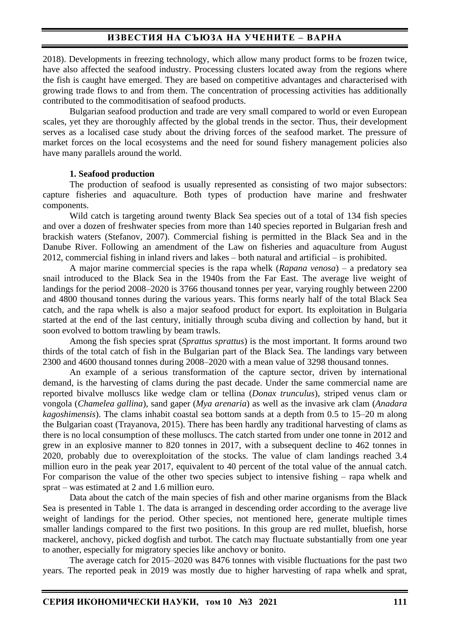2018). Developments in freezing technology, which allow many product forms to be frozen twice, have also affected the seafood industry. Processing clusters located away from the regions where the fish is caught have emerged. They are based on competitive advantages and characterised with growing trade flows to and from them. The concentration of processing activities has additionally contributed to the commoditisation of seafood products.

Bulgarian seafood production and trade are very small compared to world or even European scales, yet they are thoroughly affected by the global trends in the sector. Thus, their development serves as a localised case study about the driving forces of the seafood market. The pressure of market forces on the local ecosystems and the need for sound fishery management policies also have many parallels around the world.

### **1. Seafood production**

The production of seafood is usually represented as consisting of two major subsectors: capture fisheries and aquaculture. Both types of production have marine and freshwater components.

Wild catch is targeting around twenty Black Sea species out of a total of 134 fish species and over a dozen of freshwater species from more than 140 species reported in Bulgarian fresh and brackish waters (Stefanov, 2007). Commercial fishing is permitted in the Black Sea and in the Danube River. Following an amendment of the Law on fisheries and aquaculture from August 2012, commercial fishing in inland rivers and lakes – both natural and artificial – is prohibited.

A major marine commercial species is the rapa whelk (*Rapana venosa*) – a predatory sea snail introduced to the Black Sea in the 1940s from the Far East. The average live weight of landings for the period 2008–2020 is 3766 thousand tonnes per year, varying roughly between 2200 and 4800 thousand tonnes during the various years. This forms nearly half of the total Black Sea catch, and the rapa whelk is also a major seafood product for export. Its exploitation in Bulgaria started at the end of the last century, initially through scuba diving and collection by hand, but it soon evolved to bottom trawling by beam trawls.

Among the fish species sprat (*Sprattus sprattus*) is the most important. It forms around two thirds of the total catch of fish in the Bulgarian part of the Black Sea. The landings vary between 2300 and 4600 thousand tonnes during 2008–2020 with a mean value of 3298 thousand tonnes.

An example of a serious transformation of the capture sector, driven by international demand, is the harvesting of clams during the past decade. Under the same commercial name are reported bivalve molluscs like wedge clam or tellina (*Donax trunculus*), striped venus clam or vongola (*Chamelea gallina*), sand gaper (*Mya arenaria*) as well as the invasive ark clam (*Anadara kagoshimensis*). The clams inhabit coastal sea bottom sands at a depth from 0.5 to 15–20 m along the Bulgarian coast (Trayanova, 2015). There has been hardly any traditional harvesting of clams as there is no local consumption of these molluscs. The catch started from under one tonne in 2012 and grew in an explosive manner to 820 tonnes in 2017, with a subsequent decline to 462 tonnes in 2020, probably due to overexploitation of the stocks. The value of clam landings reached 3.4 million euro in the peak year 2017, equivalent to 40 percent of the total value of the annual catch. For comparison the value of the other two species subject to intensive fishing – rapa whelk and sprat – was estimated at 2 and 1.6 million euro.

Data about the catch of the main species of fish and other marine organisms from the Black Sea is presented in Table 1. The data is arranged in descending order according to the average live weight of landings for the period. Other species, not mentioned here, generate multiple times smaller landings compared to the first two positions. In this group are red mullet, bluefish, horse mackerel, anchovy, picked dogfish and turbot. The catch may fluctuate substantially from one year to another, especially for migratory species like anchovy or bonito.

The average catch for 2015–2020 was 8476 tonnes with visible fluctuations for the past two years. The reported peak in 2019 was mostly due to higher harvesting of rapa whelk and sprat,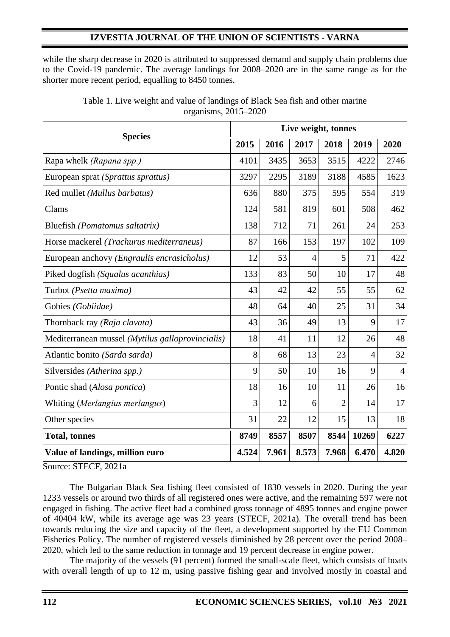# **IZVESTIA JOURNAL OF THE UNION OF SCIENTISTS - VARNA**

while the sharp decrease in 2020 is attributed to suppressed demand and supply chain problems due to the Covid-19 pandemic. The average landings for 2008–2020 are in the same range as for the shorter more recent period, equalling to 8450 tonnes.

|                                                     |       | Live weight, tonnes |                |                |                |                |  |  |  |
|-----------------------------------------------------|-------|---------------------|----------------|----------------|----------------|----------------|--|--|--|
| <b>Species</b>                                      | 2015  | 2016                | 2017           | 2018           | 2019           | 2020           |  |  |  |
| Rapa whelk (Rapana spp.)                            | 4101  | 3435                | 3653           | 3515           | 4222           | 2746           |  |  |  |
| European sprat (Sprattus sprattus)                  | 3297  | 2295                | 3189           | 3188           | 4585           | 1623           |  |  |  |
| Red mullet (Mullus barbatus)                        | 636   | 880                 | 375            | 595            | 554            | 319            |  |  |  |
| Clams                                               | 124   | 581                 | 819            | 601            | 508            | 462            |  |  |  |
| Bluefish (Pomatomus saltatrix)                      | 138   | 712                 | 71             | 261            | 24             | 253            |  |  |  |
| Horse mackerel (Trachurus mediterraneus)            | 87    | 166                 | 153            | 197            | 102            | 109            |  |  |  |
| European anchovy ( <i>Engraulis encrasicholus</i> ) | 12    | 53                  | $\overline{4}$ | 5              | 71             | 422            |  |  |  |
| Piked dogfish (Squalus acanthias)                   | 133   | 83                  | 50             | 10             | 17             | 48             |  |  |  |
| Turbot (Psetta maxima)                              | 43    | 42                  | 42             | 55             | 55             | 62             |  |  |  |
| Gobies (Gobiidae)                                   | 48    | 64                  | 40             | 25             | 31             | 34             |  |  |  |
| Thornback ray (Raja clavata)                        | 43    | 36                  | 49             | 13             | 9              | 17             |  |  |  |
| Mediterranean mussel (Mytilus galloprovincialis)    | 18    | 41                  | 11             | 12             | 26             | 48             |  |  |  |
| Atlantic bonito (Sarda sarda)                       | 8     | 68                  | 13             | 23             | $\overline{4}$ | 32             |  |  |  |
| Silversides (Atherina spp.)                         | 9     | 50                  | 10             | 16             | 9              | $\overline{4}$ |  |  |  |
| Pontic shad (Alosa pontica)                         | 18    | 16                  | 10             | 11             | 26             | 16             |  |  |  |
| Whiting (Merlangius merlangus)                      | 3     | 12                  | 6              | $\overline{2}$ | 14             | 17             |  |  |  |
| Other species                                       | 31    | 22                  | 12             | 15             | 13             | 18             |  |  |  |
| <b>Total, tonnes</b>                                | 8749  | 8557                | 8507           | 8544           | 10269          | 6227           |  |  |  |
| Value of landings, million euro                     | 4.524 | 7.961               | 8.573          | 7.968          | 6.470          | 4.820          |  |  |  |

Table 1. Live weight and value of landings of Black Sea fish and other marine organisms, 2015–2020

Source: STECF, 2021a

The Bulgarian Black Sea fishing fleet consisted of 1830 vessels in 2020. During the year 1233 vessels or around two thirds of all registered ones were active, and the remaining 597 were not engaged in fishing. The active fleet had a combined gross tonnage of 4895 tonnes and engine power of 40404 kW, while its average age was 23 years (STECF, 2021a). The overall trend has been towards reducing the size and capacity of the fleet, a development supported by the EU Common Fisheries Policy. The number of registered vessels diminished by 28 percent over the period 2008– 2020, which led to the same reduction in tonnage and 19 percent decrease in engine power.

The majority of the vessels (91 percent) formed the small-scale fleet, which consists of boats with overall length of up to 12 m, using passive fishing gear and involved mostly in coastal and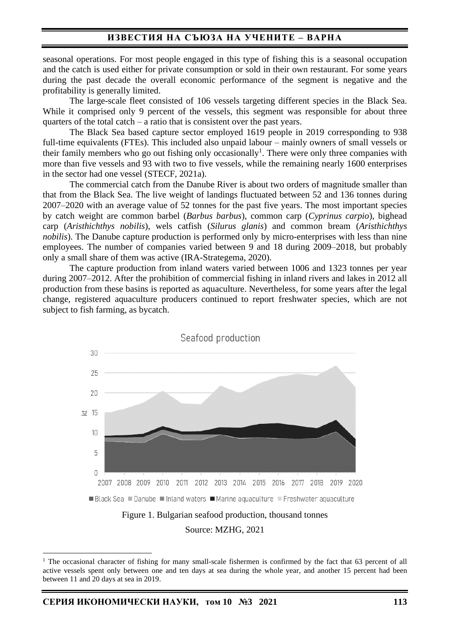seasonal operations. For most people engaged in this type of fishing this is a seasonal occupation and the catch is used either for private consumption or sold in their own restaurant. For some years during the past decade the overall economic performance of the segment is negative and the profitability is generally limited.

The large-scale fleet consisted of 106 vessels targeting different species in the Black Sea. While it comprised only 9 percent of the vessels, this segment was responsible for about three quarters of the total catch – a ratio that is consistent over the past years.

The Black Sea based capture sector employed 1619 people in 2019 corresponding to 938 full-time equivalents (FTEs). This included also unpaid labour – mainly owners of small vessels or their family members who go out fishing only occasionally<sup>1</sup>. There were only three companies with more than five vessels and 93 with two to five vessels, while the remaining nearly 1600 enterprises in the sector had one vessel (STECF, 2021a).

The commercial catch from the Danube River is about two orders of magnitude smaller than that from the Black Sea. The live weight of landings fluctuated between 52 and 136 tonnes during 2007–2020 with an average value of 52 tonnes for the past five years. The most important species by catch weight are common barbel (*Barbus barbus*), common carp (*Cyprinus carpio*), bighead carp (*Aristhichthys nobilis*), wels catfish (*Silurus glanis*) and common bream (*Aristhichthys nobilis*). The Danube capture production is performed only by micro-enterprises with less than nine employees. The number of companies varied between 9 and 18 during 2009–2018, but probably only a small share of them was active (IRA-Strategema, 2020).

The capture production from inland waters varied between 1006 and 1323 tonnes per year during 2007–2012. After the prohibition of commercial fishing in inland rivers and lakes in 2012 all production from these basins is reported as aquaculture. Nevertheless, for some years after the legal change, registered aquaculture producers continued to report freshwater species, which are not subject to fish farming, as bycatch.



Source: MZHG, 2021

<sup>&</sup>lt;sup>1</sup> The occasional character of fishing for many small-scale fishermen is confirmed by the fact that 63 percent of all active vessels spent only between one and ten days at sea during the whole year, and another 15 percent had been between 11 and 20 days at sea in 2019.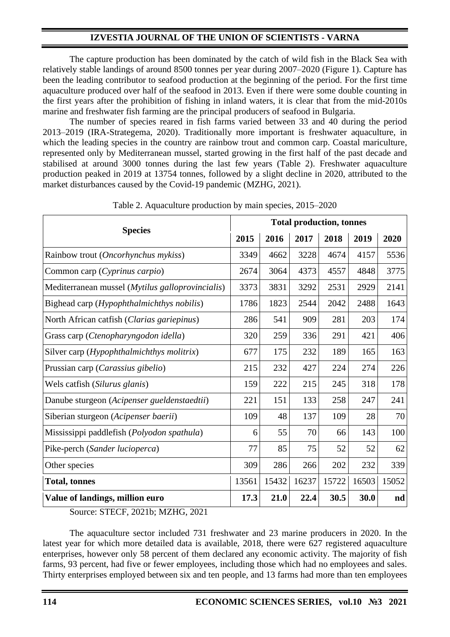# **IZVESTIA JOURNAL OF THE UNION OF SCIENTISTS - VARNA**

The capture production has been dominated by the catch of wild fish in the Black Sea with relatively stable landings of around 8500 tonnes per year during 2007–2020 (Figure 1). Capture has been the leading contributor to seafood production at the beginning of the period. For the first time aquaculture produced over half of the seafood in 2013. Even if there were some double counting in the first years after the prohibition of fishing in inland waters, it is clear that from the mid-2010s marine and freshwater fish farming are the principal producers of seafood in Bulgaria.

The number of species reared in fish farms varied between 33 and 40 during the period 2013–2019 (IRA-Strategema, 2020). Traditionally more important is freshwater aquaculture, in which the leading species in the country are rainbow trout and common carp. Coastal mariculture, represented only by Mediterranean mussel, started growing in the first half of the past decade and stabilised at around 3000 tonnes during the last few years (Table 2). Freshwater aquaculture production peaked in 2019 at 13754 tonnes, followed by a slight decline in 2020, attributed to the market disturbances caused by the Covid-19 pandemic (MZHG, 2021).

| <b>Species</b>                                            |       | <b>Total production, tonnes</b> |       |       |       |       |  |  |  |
|-----------------------------------------------------------|-------|---------------------------------|-------|-------|-------|-------|--|--|--|
|                                                           | 2015  | 2016                            | 2017  | 2018  | 2019  | 2020  |  |  |  |
| Rainbow trout (Oncorhynchus mykiss)                       | 3349  | 4662                            | 3228  | 4674  | 4157  | 5536  |  |  |  |
| Common carp (Cyprinus carpio)                             | 2674  | 3064                            | 4373  | 4557  | 4848  | 3775  |  |  |  |
| Mediterranean mussel ( <i>Mytilus galloprovincialis</i> ) | 3373  | 3831                            | 3292  | 2531  | 2929  | 2141  |  |  |  |
| Bighead carp ( <i>Hypophthalmichthys nobilis</i> )        | 1786  | 1823                            | 2544  | 2042  | 2488  | 1643  |  |  |  |
| North African catfish (Clarias gariepinus)                |       | 541                             | 909   | 281   | 203   | 174   |  |  |  |
| Grass carp (Ctenopharyngodon idella)                      |       | 259                             | 336   | 291   | 421   | 406   |  |  |  |
| Silver carp ( <i>Hypophthalmichthys molitrix</i> )        |       | 175                             | 232   | 189   | 165   | 163   |  |  |  |
| Prussian carp (Carassius gibelio)                         | 215   | 232                             | 427   | 224   | 274   | 226   |  |  |  |
| Wels catfish (Silurus glanis)                             | 159   | 222                             | 215   | 245   | 318   | 178   |  |  |  |
| Danube sturgeon (Acipenser gueldenstaedtii)               | 221   | 151                             | 133   | 258   | 247   | 241   |  |  |  |
| Siberian sturgeon (Acipenser baerii)                      | 109   | 48                              | 137   | 109   | 28    | 70    |  |  |  |
| Mississippi paddlefish (Polyodon spathula)                | 6     | 55                              | 70    | 66    | 143   | 100   |  |  |  |
| Pike-perch (Sander lucioperca)                            | 77    | 85                              | 75    | 52    | 52    | 62    |  |  |  |
| Other species                                             | 309   | 286                             | 266   | 202   | 232   | 339   |  |  |  |
| <b>Total, tonnes</b>                                      | 13561 | 15432                           | 16237 | 15722 | 16503 | 15052 |  |  |  |
| Value of landings, million euro                           | 17.3  | 21.0                            | 22.4  | 30.5  | 30.0  | nd    |  |  |  |

Table 2. Aquaculture production by main species, 2015–2020

Source: STECF, 2021b; MZHG, 2021

The aquaculture sector included 731 freshwater and 23 marine producers in 2020. In the latest year for which more detailed data is available, 2018, there were 627 registered aquaculture enterprises, however only 58 percent of them declared any economic activity. The majority of fish farms, 93 percent, had five or fewer employees, including those which had no employees and sales. Thirty enterprises employed between six and ten people, and 13 farms had more than ten employees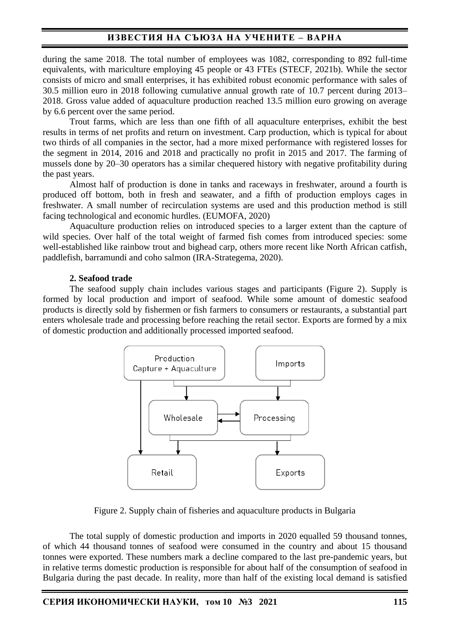# **ИЗВЕСТИЯ НА СЪЮЗА НА УЧЕНИТЕ – ВАРНА**

during the same 2018. The total number of employees was 1082, corresponding to 892 full-time equivalents, with mariculture employing 45 people or 43 FTEs (STECF, 2021b). While the sector consists of micro and small enterprises, it has exhibited robust economic performance with sales of 30.5 million euro in 2018 following cumulative annual growth rate of 10.7 percent during 2013– 2018. Gross value added of aquaculture production reached 13.5 million euro growing on average by 6.6 percent over the same period.

Trout farms, which are less than one fifth of all aquaculture enterprises, exhibit the best results in terms of net profits and return on investment. Carp production, which is typical for about two thirds of all companies in the sector, had a more mixed performance with registered losses for the segment in 2014, 2016 and 2018 and practically no profit in 2015 and 2017. The farming of mussels done by 20–30 operators has a similar chequered history with negative profitability during the past years.

Almost half of production is done in tanks and raceways in freshwater, around a fourth is produced off bottom, both in fresh and seawater, and a fifth of production employs cages in freshwater. A small number of recirculation systems are used and this production method is still facing technological and economic hurdles. (EUMOFA, 2020)

Aquaculture production relies on introduced species to a larger extent than the capture of wild species. Over half of the total weight of farmed fish comes from introduced species: some well-established like rainbow trout and bighead carp, others more recent like North African catfish, paddlefish, barramundi and coho salmon (IRA-Strategema, 2020).

### **2. Seafood trade**

The seafood supply chain includes various stages and participants (Figure 2). Supply is formed by local production and import of seafood. While some amount of domestic seafood products is directly sold by fishermen or fish farmers to consumers or restaurants, a substantial part enters wholesale trade and processing before reaching the retail sector. Exports are formed by a mix of domestic production and additionally processed imported seafood.



Figure 2. Supply chain of fisheries and aquaculture products in Bulgaria

The total supply of domestic production and imports in 2020 equalled 59 thousand tonnes, of which 44 thousand tonnes of seafood were consumed in the country and about 15 thousand tonnes were exported. These numbers mark a decline compared to the last pre-pandemic years, but in relative terms domestic production is responsible for about half of the consumption of seafood in Bulgaria during the past decade. In reality, more than half of the existing local demand is satisfied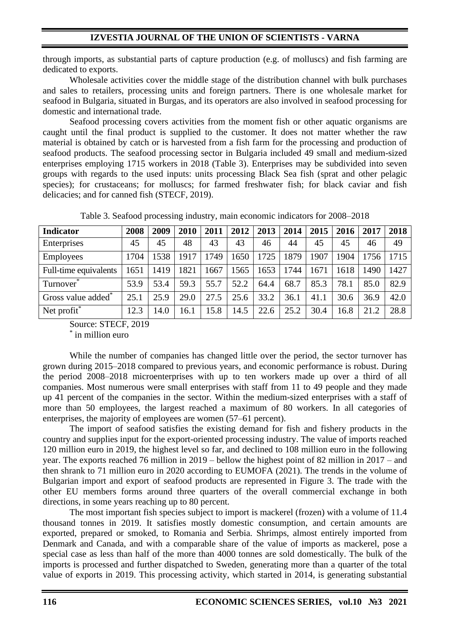through imports, as substantial parts of capture production (e.g. of molluscs) and fish farming are dedicated to exports.

Wholesale activities cover the middle stage of the distribution channel with bulk purchases and sales to retailers, processing units and foreign partners. There is one wholesale market for seafood in Bulgaria, situated in Burgas, and its operators are also involved in seafood processing for domestic and international trade.

Seafood processing covers activities from the moment fish or other aquatic organisms are caught until the final product is supplied to the customer. It does not matter whether the raw material is obtained by catch or is harvested from a fish farm for the processing and production of seafood products. The seafood processing sector in Bulgaria included 49 small and medium-sized enterprises employing 1715 workers in 2018 (Table 3). Enterprises may be subdivided into seven groups with regards to the used inputs: units processing Black Sea fish (sprat and other pelagic species); for crustaceans; for molluscs; for farmed freshwater fish; for black caviar and fish delicacies; and for canned fish (STECF, 2019).

Table 3. Seafood processing industry, main economic indicators for 2008–2018

| <b>Indicator</b>               | 2008 | 2009 | 2010 | 2011 | 2012 | 2013 | 2014 | 2015 | 2016 | 2017 | 2018 |
|--------------------------------|------|------|------|------|------|------|------|------|------|------|------|
| Enterprises                    | 45   | 45   | 48   | 43   | 43   | 46   | 44   | 45   | 45   | 46   | 49   |
| Employees                      | 1704 | 1538 | 1917 | 1749 | 1650 | 1725 | 1879 | 1907 | 1904 | 1756 | 1715 |
| Full-time equivalents          | 1651 | 1419 | 1821 | 1667 | 1565 | 1653 | 1744 | 1671 | 1618 | 1490 | 1427 |
| Turnover <sup>*</sup>          | 53.9 | 53.4 | 59.3 | 55.7 | 52.2 | 64.4 | 68.7 | 85.3 | 78.1 | 85.0 | 82.9 |
| Gross value added <sup>*</sup> | 25.1 | 25.9 | 29.0 | 27.5 | 25.6 | 33.2 | 36.1 | 41.1 | 30.6 | 36.9 | 42.0 |
| Net profit <sup>*</sup>        | 12.3 | 14.0 | 16.1 | 15.8 | 14.5 | 22.6 | 25.2 | 30.4 | 16.8 | 21.2 | 28.8 |

Source: STECF, 2019

\* in million euro

While the number of companies has changed little over the period, the sector turnover has grown during 2015–2018 compared to previous years, and economic performance is robust. During the period 2008–2018 microenterprises with up to ten workers made up over a third of all companies. Most numerous were small enterprises with staff from 11 to 49 people and they made up 41 percent of the companies in the sector. Within the medium-sized enterprises with a staff of more than 50 employees, the largest reached a maximum of 80 workers. In all categories of enterprises, the majority of employees are women (57–61 percent).

The import of seafood satisfies the existing demand for fish and fishery products in the country and supplies input for the export-oriented processing industry. The value of imports reached 120 million euro in 2019, the highest level so far, and declined to 108 million euro in the following year. The exports reached 76 million in 2019 – bellow the highest point of 82 million in 2017 – and then shrank to 71 million euro in 2020 according to EUMOFA (2021). The trends in the volume of Bulgarian import and export of seafood products are represented in Figure 3. The trade with the other EU members forms around three quarters of the overall commercial exchange in both directions, in some years reaching up to 80 percent.

The most important fish species subject to import is mackerel (frozen) with a volume of 11.4 thousand tonnes in 2019. It satisfies mostly domestic consumption, and certain amounts are exported, prepared or smoked, to Romania and Serbia. Shrimps, almost entirely imported from Denmark and Canada, and with a comparable share of the value of imports as mackerel, pose a special case as less than half of the more than 4000 tonnes are sold domestically. The bulk of the imports is processed and further dispatched to Sweden, generating more than a quarter of the total value of exports in 2019. This processing activity, which started in 2014, is generating substantial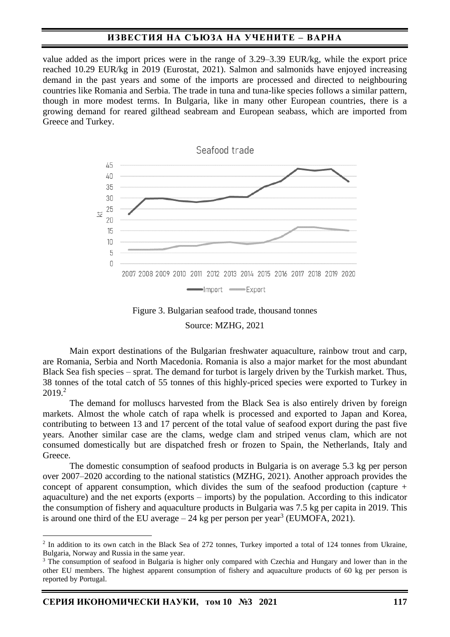### **ИЗВЕСТИЯ НА СЪЮЗА НА УЧЕНИТЕ – ВАРНА**

value added as the import prices were in the range of 3.29–3.39 EUR/kg, while the export price reached 10.29 EUR/kg in 2019 (Eurostat, 2021). Salmon and salmonids have enjoyed increasing demand in the past years and some of the imports are processed and directed to neighbouring countries like Romania and Serbia. The trade in tuna and tuna-like species follows a similar pattern, though in more modest terms. In Bulgaria, like in many other European countries, there is a growing demand for reared gilthead seabream and European seabass, which are imported from Greece and Turkey.



Figure 3. Bulgarian seafood trade, thousand tonnes

Source: MZHG, 2021

Main export destinations of the Bulgarian freshwater aquaculture, rainbow trout and carp, are Romania, Serbia and North Macedonia. Romania is also a major market for the most abundant Black Sea fish species – sprat. The demand for turbot is largely driven by the Turkish market. Thus, 38 tonnes of the total catch of 55 tonnes of this highly-priced species were exported to Turkey in 2019. 2

The demand for molluscs harvested from the Black Sea is also entirely driven by foreign markets. Almost the whole catch of rapa whelk is processed and exported to Japan and Korea, contributing to between 13 and 17 percent of the total value of seafood export during the past five years. Another similar case are the clams, wedge clam and striped venus clam, which are not consumed domestically but are dispatched fresh or frozen to Spain, the Netherlands, Italy and Greece.

The domestic consumption of seafood products in Bulgaria is on average 5.3 kg per person over 2007–2020 according to the national statistics (MZHG, 2021). Another approach provides the concept of apparent consumption, which divides the sum of the seafood production (capture + aquaculture) and the net exports (exports – imports) by the population. According to this indicator the consumption of fishery and aquaculture products in Bulgaria was 7.5 kg per capita in 2019. This is around one third of the EU average  $-24$  kg per person per year<sup>3</sup> (EUMOFA, 2021).

<sup>&</sup>lt;sup>2</sup> In addition to its own catch in the Black Sea of 272 tonnes, Turkey imported a total of 124 tonnes from Ukraine, Bulgaria, Norway and Russia in the same year.

<sup>&</sup>lt;sup>3</sup> The consumption of seafood in Bulgaria is higher only compared with Czechia and Hungary and lower than in the other EU members. The highest apparent consumption of fishery and aquaculture products of 60 kg per person is reported by Portugal.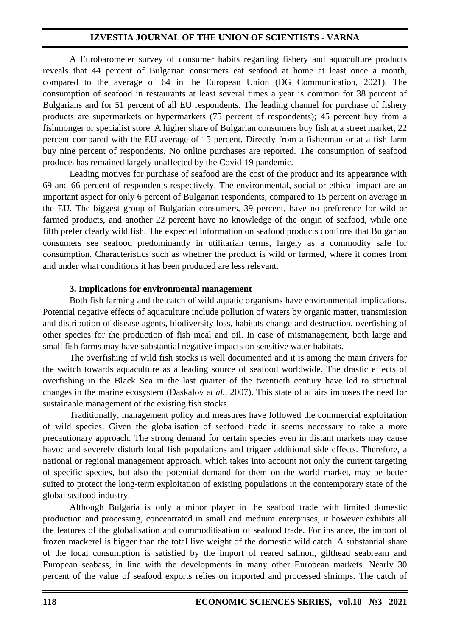## **IZVESTIA JOURNAL OF THE UNION OF SCIENTISTS - VARNA**

A Eurobarometer survey of consumer habits regarding fishery and aquaculture products reveals that 44 percent of Bulgarian consumers eat seafood at home at least once a month, compared to the average of 64 in the European Union (DG Communication, 2021). The consumption of seafood in restaurants at least several times a year is common for 38 percent of Bulgarians and for 51 percent of all EU respondents. The leading channel for purchase of fishery products are supermarkets or hypermarkets (75 percent of respondents); 45 percent buy from a fishmonger or specialist store. A higher share of Bulgarian consumers buy fish at a street market, 22 percent compared with the EU average of 15 percent. Directly from a fisherman or at a fish farm buy nine percent of respondents. No online purchases are reported. The consumption of seafood products has remained largely unaffected by the Covid-19 pandemic.

Leading motives for purchase of seafood are the cost of the product and its appearance with 69 and 66 percent of respondents respectively. The environmental, social or ethical impact are an important aspect for only 6 percent of Bulgarian respondents, compared to 15 percent on average in the EU. The biggest group of Bulgarian consumers, 39 percent, have no preference for wild or farmed products, and another 22 percent have no knowledge of the origin of seafood, while one fifth prefer clearly wild fish. The expected information on seafood products confirms that Bulgarian consumers see seafood predominantly in utilitarian terms, largely as a commodity safe for consumption. Characteristics such as whether the product is wild or farmed, where it comes from and under what conditions it has been produced are less relevant.

### **3. Implications for environmental management**

Both fish farming and the catch of wild aquatic organisms have environmental implications. Potential negative effects of aquaculture include pollution of waters by organic matter, transmission and distribution of disease agents, biodiversity loss, habitats change and destruction, overfishing of other species for the production of fish meal and oil. In case of mismanagement, both large and small fish farms may have substantial negative impacts on sensitive water habitats.

The overfishing of wild fish stocks is well documented and it is among the main drivers for the switch towards aquaculture as a leading source of seafood worldwide. The drastic effects of overfishing in the Black Sea in the last quarter of the twentieth century have led to structural changes in the marine ecosystem (Daskalov *et al.*, 2007). This state of affairs imposes the need for sustainable management of the existing fish stocks.

Traditionally, management policy and measures have followed the commercial exploitation of wild species. Given the globalisation of seafood trade it seems necessary to take a more precautionary approach. The strong demand for certain species even in distant markets may cause havoc and severely disturb local fish populations and trigger additional side effects. Therefore, a national or regional management approach, which takes into account not only the current targeting of specific species, but also the potential demand for them on the world market, may be better suited to protect the long-term exploitation of existing populations in the contemporary state of the global seafood industry.

Although Bulgaria is only a minor player in the seafood trade with limited domestic production and processing, concentrated in small and medium enterprises, it however exhibits all the features of the globalisation and commoditisation of seafood trade. For instance, the import of frozen mackerel is bigger than the total live weight of the domestic wild catch. A substantial share of the local consumption is satisfied by the import of reared salmon, gilthead seabream and European seabass, in line with the developments in many other European markets. Nearly 30 percent of the value of seafood exports relies on imported and processed shrimps. The catch of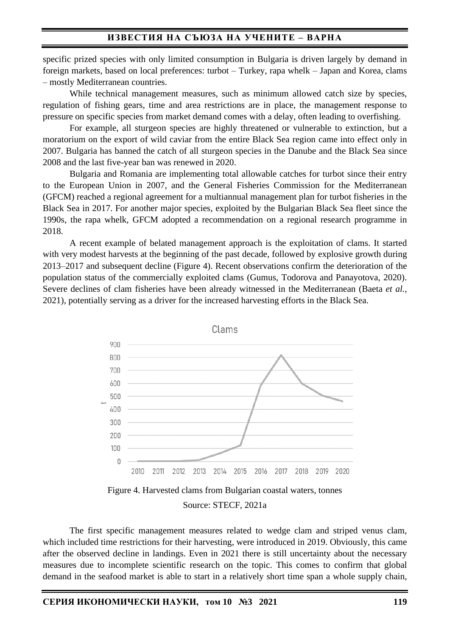specific prized species with only limited consumption in Bulgaria is driven largely by demand in foreign markets, based on local preferences: turbot – Turkey, rapa whelk – Japan and Korea, clams – mostly Mediterranean countries.

While technical management measures, such as minimum allowed catch size by species, regulation of fishing gears, time and area restrictions are in place, the management response to pressure on specific species from market demand comes with a delay, often leading to overfishing.

For example, all sturgeon species are highly threatened or vulnerable to extinction, but a moratorium on the export of wild caviar from the entire Black Sea region came into effect only in 2007. Bulgaria has banned the catch of all sturgeon species in the Danube and the Black Sea since 2008 and the last five-year ban was renewed in 2020.

Bulgaria and Romania are implementing total allowable catches for turbot since their entry to the European Union in 2007, and the General Fisheries Commission for the Mediterranean (GFCM) reached a regional agreement for a multiannual management plan for turbot fisheries in the Black Sea in 2017. For another major species, exploited by the Bulgarian Black Sea fleet since the 1990s, the rapa whelk, GFCM adopted a recommendation on a regional research programme in 2018.

A recent example of belated management approach is the exploitation of clams. It started with very modest harvests at the beginning of the past decade, followed by explosive growth during 2013–2017 and subsequent decline (Figure 4). Recent observations confirm the deterioration of the population status of the commercially exploited clams (Gumus, Todorova and Panayotova, 2020). Severe declines of clam fisheries have been already witnessed in the Mediterranean (Baeta *et al.*, 2021), potentially serving as a driver for the increased harvesting efforts in the Black Sea.



#### Source: STECF, 2021a

The first specific management measures related to wedge clam and striped venus clam, which included time restrictions for their harvesting, were introduced in 2019. Obviously, this came after the observed decline in landings. Even in 2021 there is still uncertainty about the necessary measures due to incomplete scientific research on the topic. This comes to confirm that global demand in the seafood market is able to start in a relatively short time span a whole supply chain,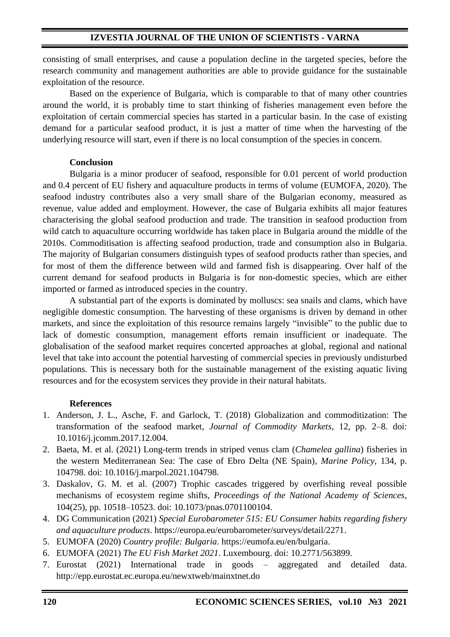consisting of small enterprises, and cause a population decline in the targeted species, before the research community and management authorities are able to provide guidance for the sustainable exploitation of the resource.

Based on the experience of Bulgaria, which is comparable to that of many other countries around the world, it is probably time to start thinking of fisheries management even before the exploitation of certain commercial species has started in a particular basin. In the case of existing demand for a particular seafood product, it is just a matter of time when the harvesting of the underlying resource will start, even if there is no local consumption of the species in concern.

### **Conclusion**

Bulgaria is a minor producer of seafood, responsible for 0.01 percent of world production and 0.4 percent of EU fishery and aquaculture products in terms of volume (EUMOFA, 2020). The seafood industry contributes also a very small share of the Bulgarian economy, measured as revenue, value added and employment. However, the case of Bulgaria exhibits all major features characterising the global seafood production and trade. The transition in seafood production from wild catch to aquaculture occurring worldwide has taken place in Bulgaria around the middle of the 2010s. Commoditisation is affecting seafood production, trade and consumption also in Bulgaria. The majority of Bulgarian consumers distinguish types of seafood products rather than species, and for most of them the difference between wild and farmed fish is disappearing. Over half of the current demand for seafood products in Bulgaria is for non-domestic species, which are either imported or farmed as introduced species in the country.

A substantial part of the exports is dominated by molluscs: sea snails and clams, which have negligible domestic consumption. The harvesting of these organisms is driven by demand in other markets, and since the exploitation of this resource remains largely "invisible" to the public due to lack of domestic consumption, management efforts remain insufficient or inadequate. The globalisation of the seafood market requires concerted approaches at global, regional and national level that take into account the potential harvesting of commercial species in previously undisturbed populations. This is necessary both for the sustainable management of the existing aquatic living resources and for the ecosystem services they provide in their natural habitats.

## **References**

- 1. Anderson, J. L., Asche, F. and Garlock, T. (2018) Globalization and commoditization: The transformation of the seafood market, *Journal of Commodity Markets*, 12, pp. 2–8. doi: 10.1016/j.jcomm.2017.12.004.
- 2. Baeta, M. et al. (2021) Long-term trends in striped venus clam (*Chamelea gallina*) fisheries in the western Mediterranean Sea: The case of Ebro Delta (NE Spain), *Marine Policy*, 134, p. 104798. doi: 10.1016/j.marpol.2021.104798.
- 3. Daskalov, G. M. et al. (2007) Trophic cascades triggered by overfishing reveal possible mechanisms of ecosystem regime shifts, *Proceedings of the National Academy of Sciences*, 104(25), pp. 10518–10523. doi: 10.1073/pnas.0701100104.
- 4. DG Communication (2021) *Special Eurobarometer 515: EU Consumer habits regarding fishery and aquaculture products*. https://europa.eu/eurobarometer/surveys/detail/2271.
- 5. EUMOFA (2020) *Country profile: Bulgaria*. https://eumofa.eu/en/bulgaria.
- 6. EUMOFA (2021) *The EU Fish Market 2021*. Luxembourg. doi: 10.2771/563899.
- 7. Eurostat (2021) International trade in goods aggregated and detailed data. http://epp.eurostat.ec.europa.eu/newxtweb/mainxtnet.do